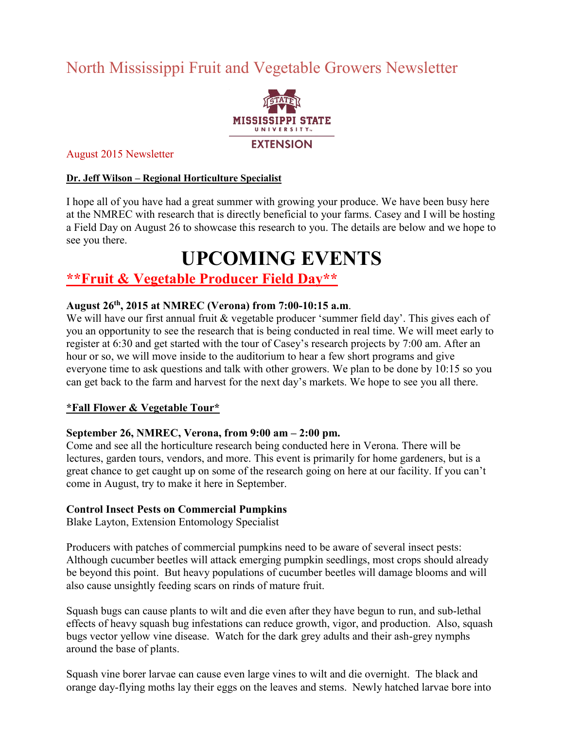## North Mississippi Fruit and Vegetable Growers Newsletter



#### August 2015 Newsletter

#### **Dr. Jeff Wilson – Regional Horticulture Specialist**

I hope all of you have had a great summer with growing your produce. We have been busy here at the NMREC with research that is directly beneficial to your farms. Casey and I will be hosting a Field Day on August 26 to showcase this research to you. The details are below and we hope to see you there.

# **UPCOMING EVENTS**

### **\*\*Fruit & Vegetable Producer Field Day\*\***

#### **August 26th, 2015 at NMREC (Verona) from 7:00-10:15 a.m**.

We will have our first annual fruit & vegetable producer 'summer field day'. This gives each of you an opportunity to see the research that is being conducted in real time. We will meet early to register at 6:30 and get started with the tour of Casey's research projects by 7:00 am. After an hour or so, we will move inside to the auditorium to hear a few short programs and give everyone time to ask questions and talk with other growers. We plan to be done by 10:15 so you can get back to the farm and harvest for the next day's markets. We hope to see you all there.

#### **\*Fall Flower & Vegetable Tour\***

#### **September 26, NMREC, Verona, from 9:00 am – 2:00 pm.**

Come and see all the horticulture research being conducted here in Verona. There will be lectures, garden tours, vendors, and more. This event is primarily for home gardeners, but is a great chance to get caught up on some of the research going on here at our facility. If you can't come in August, try to make it here in September.

#### **Control Insect Pests on Commercial Pumpkins**

Blake Layton, Extension Entomology Specialist

Producers with patches of commercial pumpkins need to be aware of several insect pests: Although cucumber beetles will attack emerging pumpkin seedlings, most crops should already be beyond this point. But heavy populations of cucumber beetles will damage blooms and will also cause unsightly feeding scars on rinds of mature fruit.

Squash bugs can cause plants to wilt and die even after they have begun to run, and sub-lethal effects of heavy squash bug infestations can reduce growth, vigor, and production. Also, squash bugs vector yellow vine disease. Watch for the dark grey adults and their ash-grey nymphs around the base of plants.

Squash vine borer larvae can cause even large vines to wilt and die overnight. The black and orange day-flying moths lay their eggs on the leaves and stems. Newly hatched larvae bore into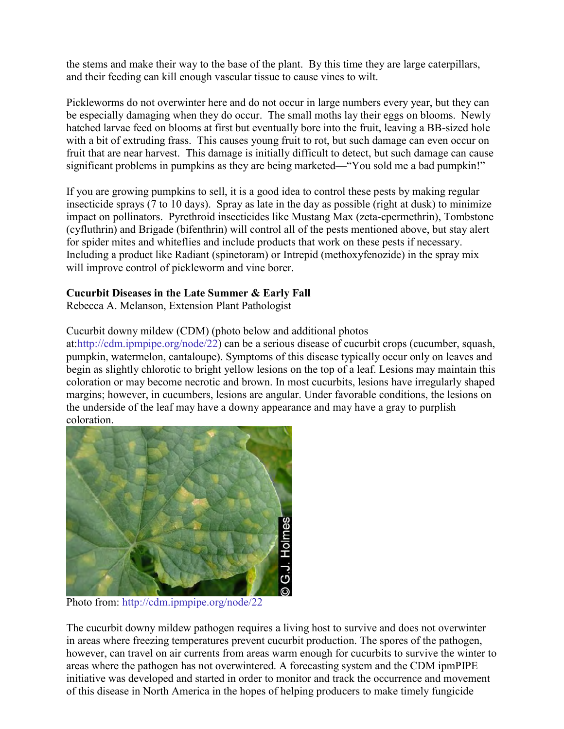the stems and make their way to the base of the plant. By this time they are large caterpillars, and their feeding can kill enough vascular tissue to cause vines to wilt.

Pickleworms do not overwinter here and do not occur in large numbers every year, but they can be especially damaging when they do occur. The small moths lay their eggs on blooms. Newly hatched larvae feed on blooms at first but eventually bore into the fruit, leaving a BB-sized hole with a bit of extruding frass. This causes young fruit to rot, but such damage can even occur on fruit that are near harvest. This damage is initially difficult to detect, but such damage can cause significant problems in pumpkins as they are being marketed—"You sold me a bad pumpkin!"

If you are growing pumpkins to sell, it is a good idea to control these pests by making regular insecticide sprays (7 to 10 days). Spray as late in the day as possible (right at dusk) to minimize impact on pollinators. Pyrethroid insecticides like Mustang Max (zeta-cpermethrin), Tombstone (cyfluthrin) and Brigade (bifenthrin) will control all of the pests mentioned above, but stay alert for spider mites and whiteflies and include products that work on these pests if necessary. Including a product like Radiant (spinetoram) or Intrepid (methoxyfenozide) in the spray mix will improve control of pickleworm and vine borer.

#### **Cucurbit Diseases in the Late Summer & Early Fall**

Rebecca A. Melanson, Extension Plant Pathologist

Cucurbit downy mildew (CDM) (photo below and additional photos

at[:http://cdm.ipmpipe.org/node/22\)](http://cdm.ipmpipe.org/node/22) can be a serious disease of cucurbit crops (cucumber, squash, pumpkin, watermelon, cantaloupe). Symptoms of this disease typically occur only on leaves and begin as slightly chlorotic to bright yellow lesions on the top of a leaf. Lesions may maintain this coloration or may become necrotic and brown. In most cucurbits, lesions have irregularly shaped margins; however, in cucumbers, lesions are angular. Under favorable conditions, the lesions on the underside of the leaf may have a downy appearance and may have a gray to purplish coloration.



Photo from:<http://cdm.ipmpipe.org/node/22>

The cucurbit downy mildew pathogen requires a living host to survive and does not overwinter in areas where freezing temperatures prevent cucurbit production. The spores of the pathogen, however, can travel on air currents from areas warm enough for cucurbits to survive the winter to areas where the pathogen has not overwintered. A forecasting system and the CDM ipmPIPE initiative was developed and started in order to monitor and track the occurrence and movement of this disease in North America in the hopes of helping producers to make timely fungicide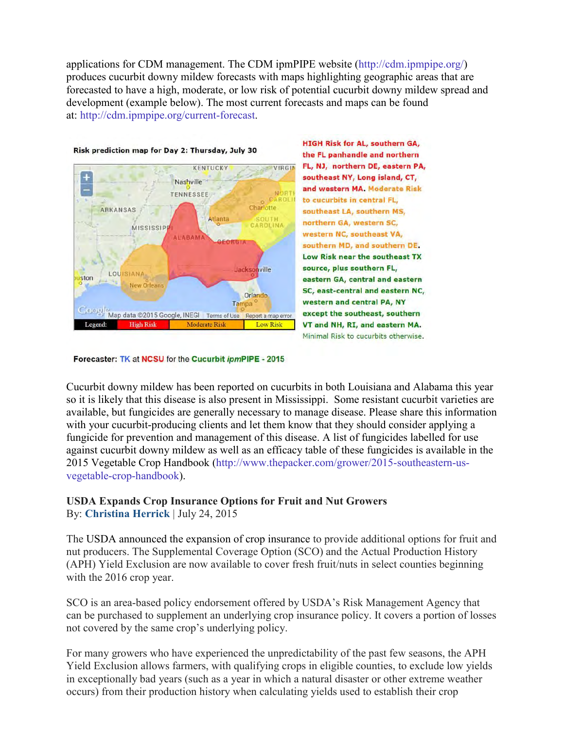applications for CDM management. The CDM ipmPIPE website [\(http://cdm.ipmpipe.org/\)](http://cdm.ipmpipe.org/) produces cucurbit downy mildew forecasts with maps highlighting geographic areas that are forecasted to have a high, moderate, or low risk of potential cucurbit downy mildew spread and development (example below). The most current forecasts and maps can be found at: [http://cdm.ipmpipe.org/current-forecast.](http://cdm.ipmpipe.org/current-forecast)



**HIGH Risk for AL, southern GA,** the FL panhandle and northern FL, NJ, northern DE, eastern PA, southeast NY, Long island, CT, and western MA. Moderate Risk to cucurbits in central FL, southeast LA, southern MS, northern GA, western SC, western NC, southeast VA, southern MD, and southern DE. Low Risk near the southeast TX source, plus southern FL, eastern GA, central and eastern SC, east-central and eastern NC, western and central PA, NY except the southeast, southern VT and NH, RI, and eastern MA. Minimal Risk to cucurbits otherwise.

Forecaster: TK at NCSU for the Cucurbit ipmPIPE - 2015

Cucurbit downy mildew has been reported on cucurbits in both Louisiana and Alabama this year so it is likely that this disease is also present in Mississippi. Some resistant cucurbit varieties are available, but fungicides are generally necessary to manage disease. Please share this information with your cucurbit-producing clients and let them know that they should consider applying a fungicide for prevention and management of this disease. A list of fungicides labelled for use against cucurbit downy mildew as well as an efficacy table of these fungicides is available in the 2015 Vegetable Crop Handbook [\(http://www.thepacker.com/grower/2015-southeastern-us](http://www.thepacker.com/grower/2015-southeastern-us-vegetable-crop-handbook)[vegetable-crop-handbook\)](http://www.thepacker.com/grower/2015-southeastern-us-vegetable-crop-handbook).

#### **USDA Expands Crop Insurance Options for Fruit and Nut Growers**  By: **[Christina Herrick](http://www.growingproduce.com/author/christina-herrick/)** | July 24, 2015

The [USDA announced the expansion of crop insurance](http://www.usda.gov/wps/portal/usda/usdahome?contentid=2015/07/0214.xml&navid=NEWS_RELEASE&navtype=RT&parentnav=LATEST_RELEASES&edeployment_action=retrievecontent) to provide additional options for fruit and nut producers. The Supplemental Coverage Option (SCO) and the Actual Production History (APH) Yield Exclusion are now available to cover fresh fruit/nuts in select counties beginning with the 2016 crop year.

SCO is an area-based policy endorsement offered by USDA's Risk Management Agency that can be purchased to supplement an underlying crop insurance policy. It covers a portion of losses not covered by the same crop's underlying policy.

For many growers who have experienced the unpredictability of the past few seasons, the APH Yield Exclusion allows farmers, with qualifying crops in eligible counties, to exclude low yields in exceptionally bad years (such as a year in which a natural disaster or other extreme weather occurs) from their production history when calculating yields used to establish their crop